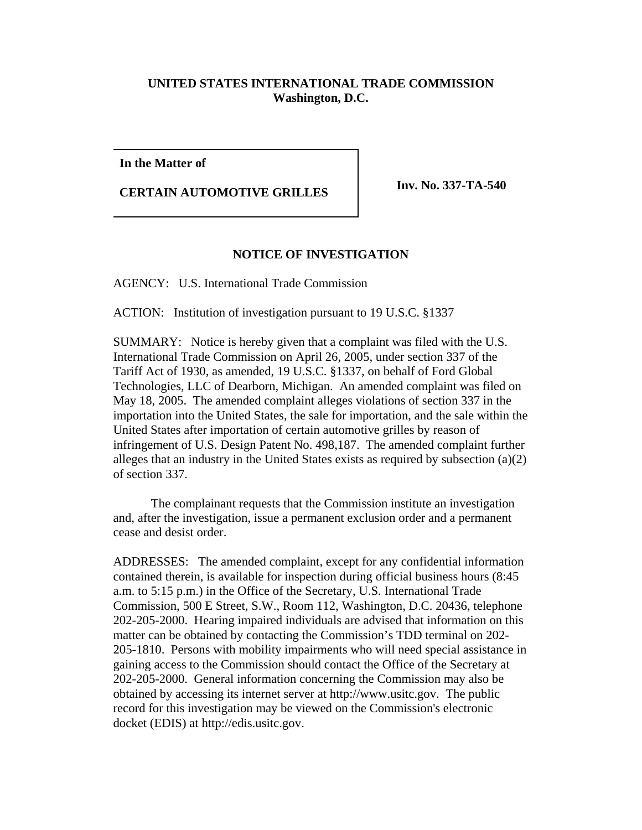## **UNITED STATES INTERNATIONAL TRADE COMMISSION Washington, D.C.**

**In the Matter of**

**CERTAIN AUTOMOTIVE GRILLES Inv. No. 337-TA-540** 

## **NOTICE OF INVESTIGATION**

AGENCY: U.S. International Trade Commission

ACTION: Institution of investigation pursuant to 19 U.S.C. §1337

SUMMARY: Notice is hereby given that a complaint was filed with the U.S. International Trade Commission on April 26, 2005, under section 337 of the Tariff Act of 1930, as amended, 19 U.S.C. §1337, on behalf of Ford Global Technologies, LLC of Dearborn, Michigan. An amended complaint was filed on May 18, 2005. The amended complaint alleges violations of section 337 in the importation into the United States, the sale for importation, and the sale within the United States after importation of certain automotive grilles by reason of infringement of U.S. Design Patent No. 498,187. The amended complaint further alleges that an industry in the United States exists as required by subsection (a)(2) of section 337.

The complainant requests that the Commission institute an investigation and, after the investigation, issue a permanent exclusion order and a permanent cease and desist order.

ADDRESSES: The amended complaint, except for any confidential information contained therein, is available for inspection during official business hours (8:45 a.m. to 5:15 p.m.) in the Office of the Secretary, U.S. International Trade Commission, 500 E Street, S.W., Room 112, Washington, D.C. 20436, telephone 202-205-2000. Hearing impaired individuals are advised that information on this matter can be obtained by contacting the Commission's TDD terminal on 202- 205-1810. Persons with mobility impairments who will need special assistance in gaining access to the Commission should contact the Office of the Secretary at 202-205-2000. General information concerning the Commission may also be obtained by accessing its internet server at http://www.usitc.gov. The public record for this investigation may be viewed on the Commission's electronic docket (EDIS) at http://edis.usitc.gov.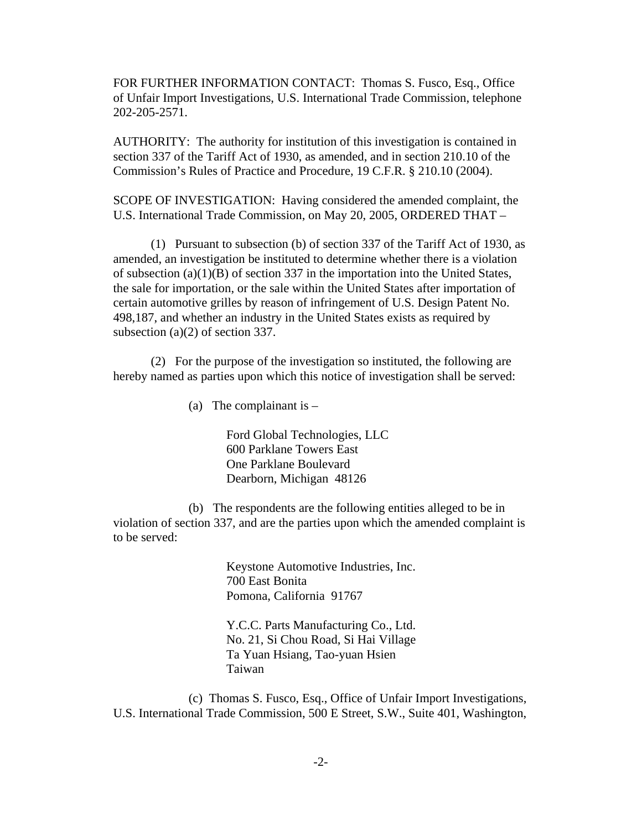FOR FURTHER INFORMATION CONTACT: Thomas S. Fusco, Esq., Office of Unfair Import Investigations, U.S. International Trade Commission, telephone 202-205-2571.

AUTHORITY: The authority for institution of this investigation is contained in section 337 of the Tariff Act of 1930, as amended, and in section 210.10 of the Commission's Rules of Practice and Procedure, 19 C.F.R. § 210.10 (2004).

SCOPE OF INVESTIGATION: Having considered the amended complaint, the U.S. International Trade Commission, on May 20, 2005, ORDERED THAT –

(1) Pursuant to subsection (b) of section 337 of the Tariff Act of 1930, as amended, an investigation be instituted to determine whether there is a violation of subsection  $(a)(1)(B)$  of section 337 in the importation into the United States, the sale for importation, or the sale within the United States after importation of certain automotive grilles by reason of infringement of U.S. Design Patent No. 498,187, and whether an industry in the United States exists as required by subsection (a)(2) of section 337.

(2) For the purpose of the investigation so instituted, the following are hereby named as parties upon which this notice of investigation shall be served:

(a) The complainant is  $-$ 

Ford Global Technologies, LLC 600 Parklane Towers East One Parklane Boulevard Dearborn, Michigan 48126

(b) The respondents are the following entities alleged to be in violation of section 337, and are the parties upon which the amended complaint is to be served:

> Keystone Automotive Industries, Inc. 700 East Bonita Pomona, California 91767

> Y.C.C. Parts Manufacturing Co., Ltd. No. 21, Si Chou Road, Si Hai Village Ta Yuan Hsiang, Tao-yuan Hsien Taiwan

(c) Thomas S. Fusco, Esq., Office of Unfair Import Investigations, U.S. International Trade Commission, 500 E Street, S.W., Suite 401, Washington,